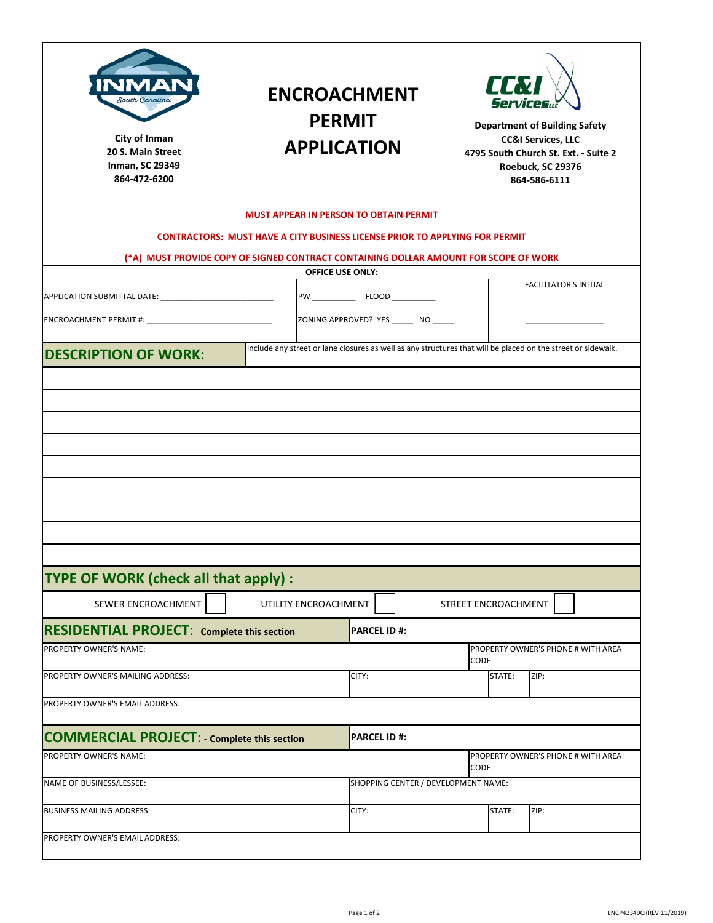| South Carolina<br>City of Inman<br>20 S. Main Street<br>Inman, SC 29349<br>864-472-6200                                                                                                              |                                                                                      | <b>ENCROACHMENT</b><br><b>PERMIT</b><br><b>APPLICATION</b>                                                   |                     | LLN    | <b>Department of Building Safety</b><br><b>CC&amp;I Services, LLC</b><br>4795 South Church St. Ext. - Suite 2<br>Roebuck, SC 29376<br>864-586-6111 |
|------------------------------------------------------------------------------------------------------------------------------------------------------------------------------------------------------|--------------------------------------------------------------------------------------|--------------------------------------------------------------------------------------------------------------|---------------------|--------|----------------------------------------------------------------------------------------------------------------------------------------------------|
|                                                                                                                                                                                                      |                                                                                      | <b>MUST APPEAR IN PERSON TO OBTAIN PERMIT</b>                                                                |                     |        |                                                                                                                                                    |
|                                                                                                                                                                                                      | <b>CONTRACTORS: MUST HAVE A CITY BUSINESS LICENSE PRIOR TO APPLYING FOR PERMIT</b>   |                                                                                                              |                     |        |                                                                                                                                                    |
|                                                                                                                                                                                                      | (*A) MUST PROVIDE COPY OF SIGNED CONTRACT CONTAINING DOLLAR AMOUNT FOR SCOPE OF WORK |                                                                                                              |                     |        |                                                                                                                                                    |
|                                                                                                                                                                                                      |                                                                                      | <b>OFFICE USE ONLY:</b>                                                                                      |                     |        | <b>FACILITATOR'S INITIAL</b>                                                                                                                       |
|                                                                                                                                                                                                      |                                                                                      |                                                                                                              |                     |        |                                                                                                                                                    |
|                                                                                                                                                                                                      |                                                                                      | ZONING APPROVED? YES ______ NO _____                                                                         |                     |        |                                                                                                                                                    |
| <b>DESCRIPTION OF WORK:</b>                                                                                                                                                                          |                                                                                      | Include any street or lane closures as well as any structures that will be placed on the street or sidewalk. |                     |        |                                                                                                                                                    |
|                                                                                                                                                                                                      |                                                                                      |                                                                                                              |                     |        |                                                                                                                                                    |
|                                                                                                                                                                                                      |                                                                                      |                                                                                                              |                     |        |                                                                                                                                                    |
|                                                                                                                                                                                                      |                                                                                      |                                                                                                              |                     |        |                                                                                                                                                    |
| SEWER ENCROACHMENT                                                                                                                                                                                   | UTILITY ENCROACHMENT                                                                 |                                                                                                              | STREET ENCROACHMENT |        |                                                                                                                                                    |
|                                                                                                                                                                                                      |                                                                                      | <b>PARCEL ID#:</b>                                                                                           |                     |        |                                                                                                                                                    |
|                                                                                                                                                                                                      |                                                                                      |                                                                                                              |                     |        | PROPERTY OWNER'S PHONE # WITH AREA                                                                                                                 |
|                                                                                                                                                                                                      |                                                                                      | CITY:                                                                                                        | CODE:               | STATE: | ZIP:                                                                                                                                               |
| <b>TYPE OF WORK (check all that apply):</b><br><b>RESIDENTIAL PROJECT: - Complete this section</b><br>PROPERTY OWNER'S NAME:<br>PROPERTY OWNER'S MAILING ADDRESS:<br>PROPERTY OWNER'S EMAIL ADDRESS: |                                                                                      |                                                                                                              |                     |        |                                                                                                                                                    |
|                                                                                                                                                                                                      |                                                                                      |                                                                                                              |                     |        |                                                                                                                                                    |
|                                                                                                                                                                                                      |                                                                                      | <b>PARCEL ID#:</b>                                                                                           |                     |        |                                                                                                                                                    |
|                                                                                                                                                                                                      |                                                                                      |                                                                                                              | CODE:               |        | PROPERTY OWNER'S PHONE # WITH AREA                                                                                                                 |
|                                                                                                                                                                                                      |                                                                                      | SHOPPING CENTER / DEVELOPMENT NAME:                                                                          |                     |        |                                                                                                                                                    |
| <b>COMMERCIAL PROJECT: - Complete this section</b><br>PROPERTY OWNER'S NAME:<br>NAME OF BUSINESS/LESSEE:<br><b>BUSINESS MAILING ADDRESS:</b>                                                         |                                                                                      | CITY:                                                                                                        |                     | STATE: | ZIP:                                                                                                                                               |